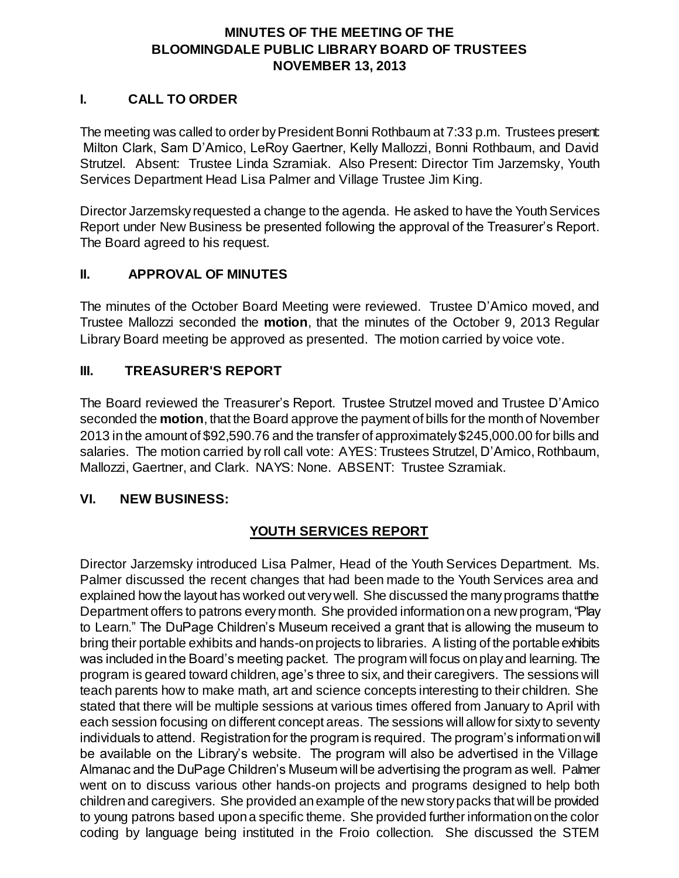#### **MINUTES OF THE MEETING OF THE BLOOMINGDALE PUBLIC LIBRARY BOARD OF TRUSTEES NOVEMBER 13, 2013**

#### **I. CALL TO ORDER**

The meeting was called to order by President Bonni Rothbaum at 7:33 p.m. Trustees present: Milton Clark, Sam D'Amico, LeRoy Gaertner, Kelly Mallozzi, Bonni Rothbaum, and David Strutzel. Absent: Trustee Linda Szramiak. Also Present: Director Tim Jarzemsky, Youth Services Department Head Lisa Palmer and Village Trustee Jim King.

Director Jarzemsky requested a change to the agenda. He asked to have the Youth Services Report under New Business be presented following the approval of the Treasurer's Report. The Board agreed to his request.

#### **II. APPROVAL OF MINUTES**

The minutes of the October Board Meeting were reviewed. Trustee D'Amico moved, and Trustee Mallozzi seconded the **motion**, that the minutes of the October 9, 2013 Regular Library Board meeting be approved as presented. The motion carried by voice vote.

### **III. TREASURER'S REPORT**

The Board reviewed the Treasurer's Report. Trustee Strutzel moved and Trustee D'Amico seconded the **motion**, that the Board approve the payment of bills for the month of November 2013 in the amount of \$92,590.76 and the transfer of approximately \$245,000.00 for bills and salaries. The motion carried by roll call vote: AYES: Trustees Strutzel, D'Amico, Rothbaum, Mallozzi, Gaertner, and Clark. NAYS: None. ABSENT: Trustee Szramiak.

#### **VI. NEW BUSINESS:**

## **YOUTH SERVICES REPORT**

Director Jarzemsky introduced Lisa Palmer, Head of the Youth Services Department. Ms. Palmer discussed the recent changes that had been made to the Youth Services area and explained how the layout has worked out very well. She discussed the many programs that the Department offers to patrons every month. She provided information on a new program,"Play to Learn." The DuPage Children's Museum received a grant that is allowing the museum to bring their portable exhibits and hands-on projects to libraries. A listing of the portable exhibits was included in the Board's meeting packet. The program will focus on play and learning. The program is geared toward children, age's three to six, and their caregivers. The sessions will teach parents how to make math, art and science concepts interesting to their children. She stated that there will be multiple sessions at various times offered from January to April with each session focusing on different concept areas. The sessions will allow for sixty to seventy individuals to attend. Registration for the program is required. The program's information will be available on the Library's website. The program will also be advertised in the Village Almanac and the DuPage Children's Museum will be advertising the program as well. Palmer went on to discuss various other hands-on projects and programs designed to help both children and caregivers. She provided an example of the new story packs that will be provided to young patrons based upon a specific theme. She provided further information on the color coding by language being instituted in the Froio collection. She discussed the STEM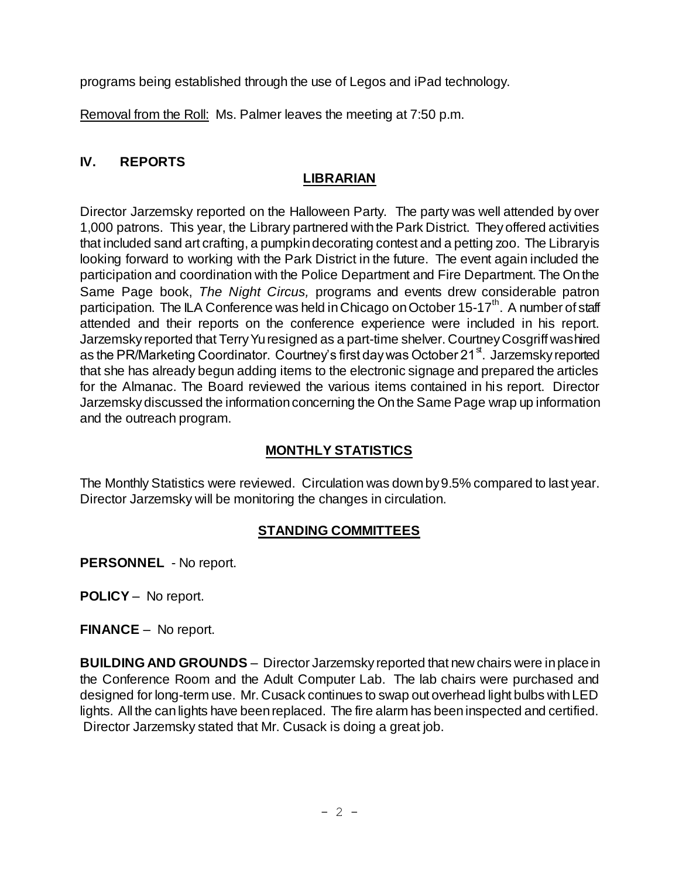programs being established through the use of Legos and iPad technology.

Removal from the Roll: Ms. Palmer leaves the meeting at 7:50 p.m.

## **IV. REPORTS**

# **LIBRARIAN**

Director Jarzemsky reported on the Halloween Party. The party was well attended by over 1,000 patrons. This year, the Library partnered with the Park District. Theyoffered activities that included sand art crafting, a pumpkin decorating contest and a petting zoo. The Library is looking forward to working with the Park District in the future. The event again included the participation and coordination with the Police Department and Fire Department. The On the Same Page book, *The Night Circus,* programs and events drew considerable patron participation. The ILA Conference was held in Chicago on October 15-17<sup>th</sup>. A number of staff attended and their reports on the conference experience were included in his report. Jarzemsky reported that Terry Yu resigned as a part-time shelver. Courtney Cosgriff was hired as the PR/Marketing Coordinator. Courtney's first day was October 21<sup>st</sup>. Jarzemsky reported that she has already begun adding items to the electronic signage and prepared the articles for the Almanac. The Board reviewed the various items contained in his report. Director Jarzemsky discussed the information concerning the On the Same Page wrap up information and the outreach program.

# **MONTHLY STATISTICS**

The Monthly Statistics were reviewed. Circulation was down by 9.5% compared to last year. Director Jarzemsky will be monitoring the changes in circulation.

## **STANDING COMMITTEES**

**PERSONNEL** - No report.

**POLICY** – No report.

**FINANCE** – No report.

**BUILDING AND GROUNDS** – Director Jarzemsky reported that new chairs were in place in the Conference Room and the Adult Computer Lab. The lab chairs were purchased and designed for long-term use. Mr. Cusack continues to swap out overhead light bulbs with LED lights. All the can lights have been replaced. The fire alarm has been inspected and certified. Director Jarzemsky stated that Mr. Cusack is doing a great job.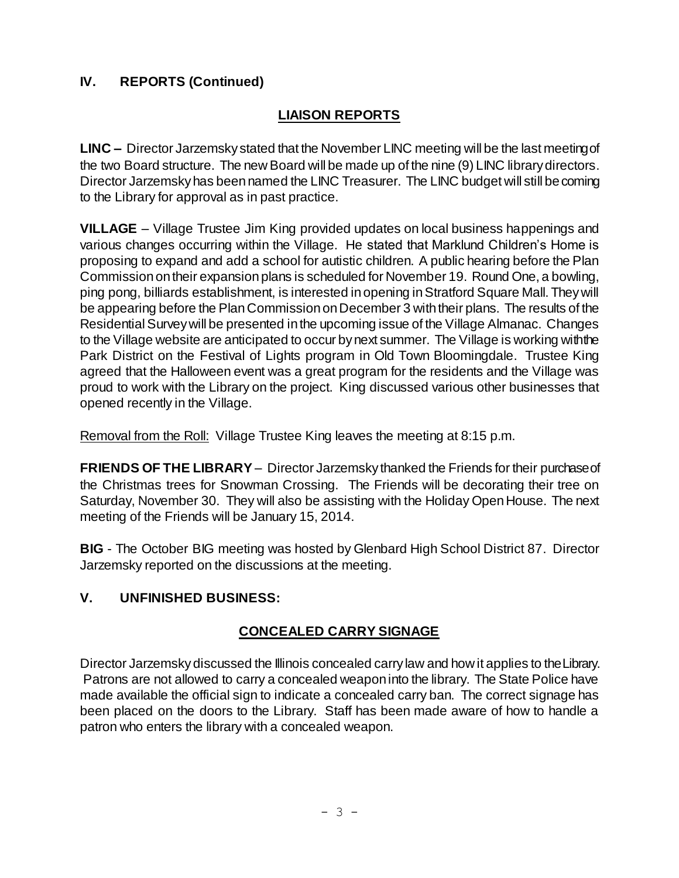## **IV. REPORTS (Continued)**

# **LIAISON REPORTS**

**LINC –** Director Jarzemsky stated that the November LINC meeting will be the last meeting of the two Board structure. The new Board will be made up of the nine (9) LINC library directors. Director Jarzemsky has been named the LINC Treasurer. The LINC budget will still be coming to the Library for approval as in past practice.

**VILLAGE** – Village Trustee Jim King provided updates on local business happenings and various changes occurring within the Village. He stated that Marklund Children's Home is proposing to expand and add a school for autistic children. A public hearing before the Plan Commission on their expansion plans is scheduled for November 19. Round One, a bowling, ping pong, billiards establishment, is interested in opening in Stratford Square Mall. They will be appearing before the Plan Commission on December 3 with their plans. The results of the Residential Survey will be presented in the upcoming issue of the Village Almanac. Changes to the Village website are anticipated to occur by next summer. The Village is working with the Park District on the Festival of Lights program in Old Town Bloomingdale. Trustee King agreed that the Halloween event was a great program for the residents and the Village was proud to work with the Library on the project. King discussed various other businesses that opened recently in the Village.

Removal from the Roll: Village Trustee King leaves the meeting at 8:15 p.m.

**FRIENDS OF THE LIBRARY** – Director Jarzemsky thanked the Friends for their purchase of the Christmas trees for Snowman Crossing. The Friends will be decorating their tree on Saturday, November 30. They will also be assisting with the Holiday Open House. The next meeting of the Friends will be January 15, 2014.

**BIG** - The October BIG meeting was hosted by Glenbard High School District 87. Director Jarzemsky reported on the discussions at the meeting.

#### **V. UNFINISHED BUSINESS:**

## **CONCEALED CARRY SIGNAGE**

Director Jarzemsky discussed the Illinois concealed carry law and how it applies to the Library. Patrons are not allowed to carry a concealed weapon into the library. The State Police have made available the official sign to indicate a concealed carry ban. The correct signage has been placed on the doors to the Library. Staff has been made aware of how to handle a patron who enters the library with a concealed weapon.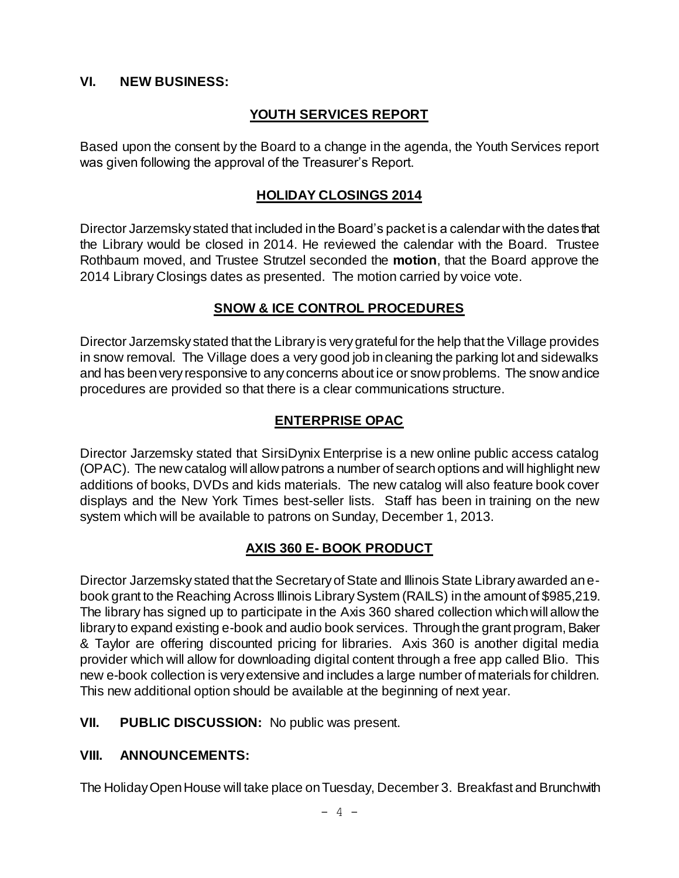#### **VI. NEW BUSINESS:**

### **YOUTH SERVICES REPORT**

Based upon the consent by the Board to a change in the agenda, the Youth Services report was given following the approval of the Treasurer's Report.

#### **HOLIDAY CLOSINGS 2014**

Director Jarzemsky stated that included in the Board's packet is a calendar with the dates that the Library would be closed in 2014. He reviewed the calendar with the Board. Trustee Rothbaum moved, and Trustee Strutzel seconded the **motion**, that the Board approve the 2014 Library Closings dates as presented. The motion carried by voice vote.

#### **SNOW & ICE CONTROL PROCEDURES**

Director Jarzemsky stated that the Library is very grateful for the help that the Village provides in snow removal. The Village does a very good job in cleaning the parking lot and sidewalks and has been very responsive to any concerns about ice or snow problems. The snow and ice procedures are provided so that there is a clear communications structure.

### **ENTERPRISE OPAC**

Director Jarzemsky stated that SirsiDynix Enterprise is a new online public access catalog (OPAC). The new catalog will allow patrons a number of search options and will highlight new additions of books, DVDs and kids materials. The new catalog will also feature book cover displays and the New York Times best-seller lists. Staff has been in training on the new system which will be available to patrons on Sunday, December 1, 2013.

#### **AXIS 360 E- BOOK PRODUCT**

Director Jarzemsky stated that the Secretary of State and Illinois State Library awarded an ebook grant to the Reaching Across Illinois Library System (RAILS) in the amount of \$985,219. The library has signed up to participate in the Axis 360 shared collection which will allow the library to expand existing e-book and audio book services. Through the grant program, Baker & Taylor are offering discounted pricing for libraries. Axis 360 is another digital media provider which will allow for downloading digital content through a free app called Blio. This new e-book collection is very extensive and includes a large number of materials for children. This new additional option should be available at the beginning of next year.

**VII. PUBLIC DISCUSSION:** No public was present.

#### **VIII. ANNOUNCEMENTS:**

The Holiday Open House will take place on Tuesday, December 3. Breakfast and Brunch with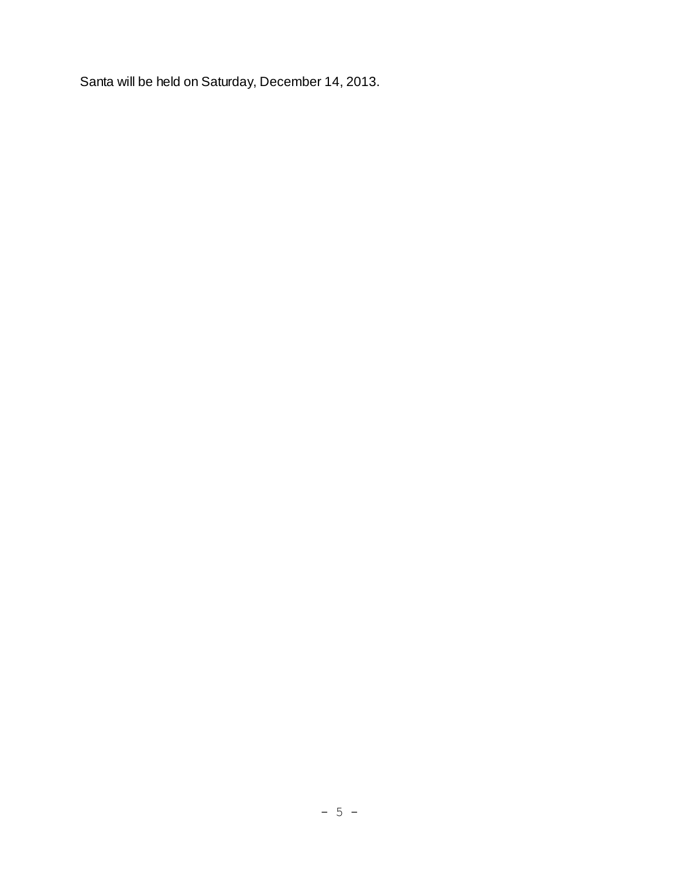Santa will be held on Saturday, December 14, 2013.